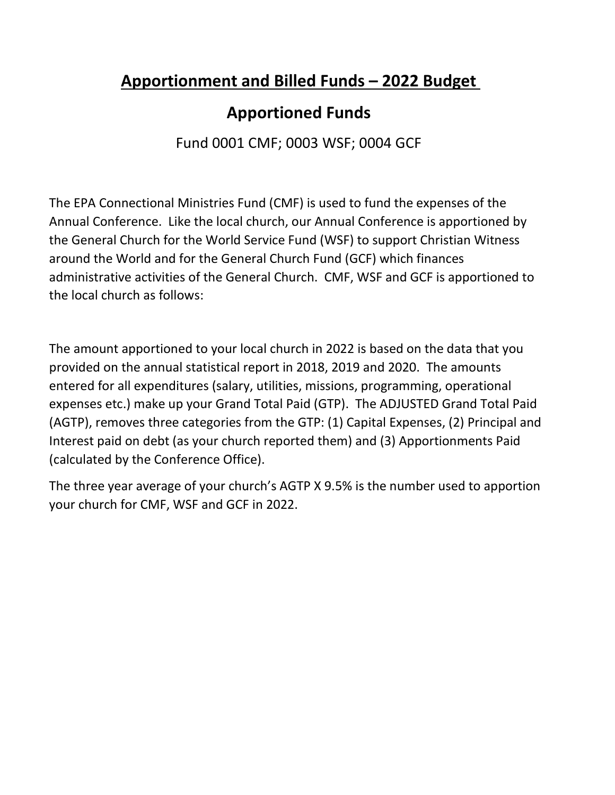# **Apportionment and Billed Funds – 2022 Budget**

# **Apportioned Funds**

Fund 0001 CMF; 0003 WSF; 0004 GCF

The EPA Connectional Ministries Fund (CMF) is used to fund the expenses of the Annual Conference. Like the local church, our Annual Conference is apportioned by the General Church for the World Service Fund (WSF) to support Christian Witness around the World and for the General Church Fund (GCF) which finances administrative activities of the General Church. CMF, WSF and GCF is apportioned to the local church as follows:

The amount apportioned to your local church in 2022 is based on the data that you provided on the annual statistical report in 2018, 2019 and 2020. The amounts entered for all expenditures (salary, utilities, missions, programming, operational expenses etc.) make up your Grand Total Paid (GTP). The ADJUSTED Grand Total Paid (AGTP), removes three categories from the GTP: (1) Capital Expenses, (2) Principal and Interest paid on debt (as your church reported them) and (3) Apportionments Paid (calculated by the Conference Office).

The three year average of your church's AGTP X 9.5% is the number used to apportion your church for CMF, WSF and GCF in 2022.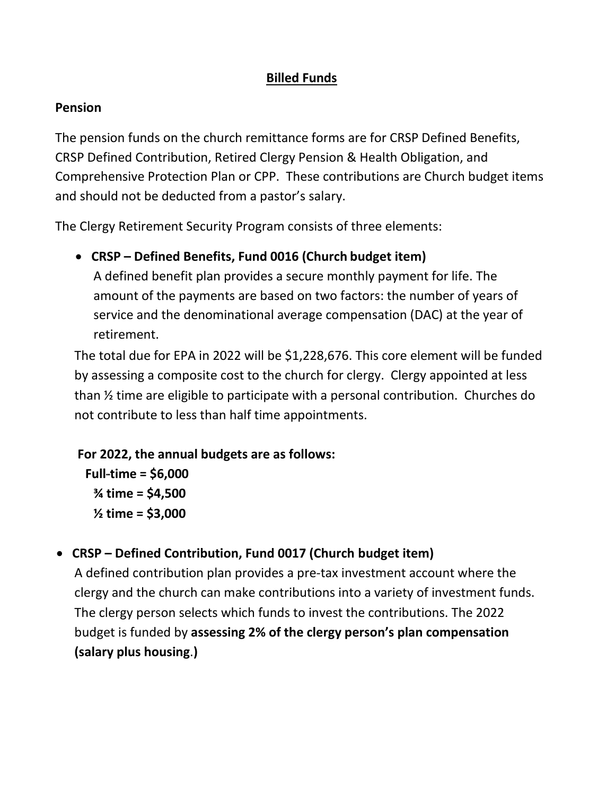## **Billed Funds**

### **Pension**

The pension funds on the church remittance forms are for CRSP Defined Benefits, CRSP Defined Contribution, Retired Clergy Pension & Health Obligation, and Comprehensive Protection Plan or CPP. These contributions are Church budget items and should not be deducted from a pastor's salary.

The Clergy Retirement Security Program consists of three elements:

• **CRSP – Defined Benefits, Fund 0016 (Church budget item)** A defined benefit plan provides a secure monthly payment for life. The amount of the payments are based on two factors: the number of years of service and the denominational average compensation (DAC) at the year of retirement.

The total due for EPA in 2022 will be \$1,228,676. This core element will be funded by assessing a composite cost to the church for clergy. Clergy appointed at less than ½ time are eligible to participate with a personal contribution. Churches do not contribute to less than half time appointments.

## **For 2022, the annual budgets are as follows:**

 $Full-time = $6,000$ **¾ time = \$4,500 ½ time = \$3,000**

• **CRSP – Defined Contribution, Fund 0017 (Church budget item)**

A defined contribution plan provides a pre-tax investment account where the clergy and the church can make contributions into a variety of investment funds. The clergy person selects which funds to invest the contributions. The 2022 budget is funded by **assessing 2% of the clergy person's plan compensation (salary plus housing**.**)**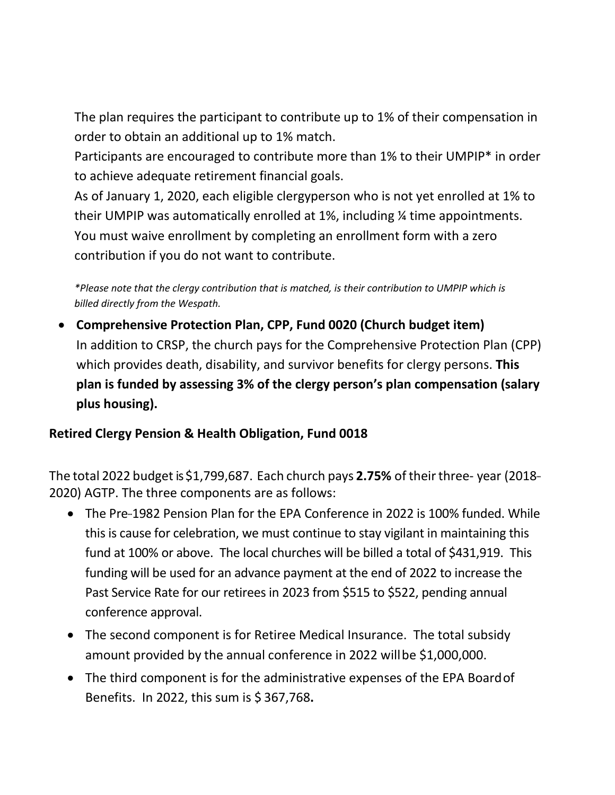The plan requires the participant to contribute up to 1% of their compensation in order to obtain an additional up to 1% match.

Participants are encouraged to contribute more than 1% to their UMPIP\* in order to achieve adequate retirement financial goals.

As of January 1, 2020, each eligible clergyperson who is not yet enrolled at 1% to their UMPIP was automatically enrolled at 1%, including ¼ time appointments. You must waive enrollment by completing an enrollment form with a zero contribution if you do not want to contribute.

*\*Please note that the clergy contribution that is matched, is their contribution to UMPIP which is billed directly from the Wespath.*

• **Comprehensive Protection Plan, CPP, Fund 0020 (Church budget item)** In addition to CRSP, the church pays for the Comprehensive Protection Plan (CPP) which provides death, disability, and survivor benefits for clergy persons. **This plan is funded by assessing 3% of the clergy person's plan compensation (salary plus housing).**

## **Retired Clergy Pension & Health Obligation, Fund 0018**

The total 2022 budget is \$1,799,687. Each church pays 2.75% of their three- year (2018--2020) AGTP. The three components are as follows:

- The Pre-1982 Pension Plan for the EPA Conference in 2022 is 100% funded. While this is cause for celebration, we must continue to stay vigilant in maintaining this fund at 100% or above. The local churches will be billed a total of \$431,919. This funding will be used for an advance payment at the end of 2022 to increase the Past Service Rate for our retirees in 2023 from \$515 to \$522, pending annual conference approval.
- The second component is for Retiree Medical Insurance. The total subsidy amount provided by the annual conference in 2022 willbe \$1,000,000.
- The third component is for the administrative expenses of the EPA Boardof Benefits. In 2022, this sum is \$ 367,768**.**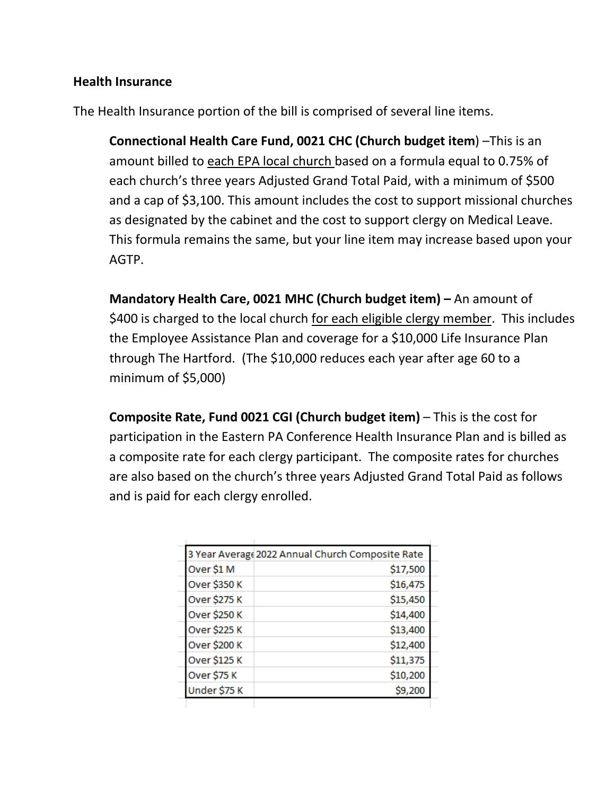### **Health Insurance**

The Health Insurance portion of the bill is comprised of several line items.

**Connectional Health Care Fund, 0021 CHC (Church budget item**) –This is an amount billed to each EPA local church based on a formula equal to 0.75% of each church's three years Adjusted Grand Total Paid, with a minimum of \$500 and a cap of \$3,100. This amount includes the cost to support missional churches as designated by the cabinet and the cost to support clergy on Medical Leave. This formula remains the same, but your line item may increase based upon your AGTP.

**Mandatory Health Care, 0021 MHC (Church budget item) –** An amount of \$400 is charged to the local church for each eligible clergy member. This includes the Employee Assistance Plan and coverage for a \$10,000 Life Insurance Plan through The Hartford. (The \$10,000 reduces each year after age 60 to a minimum of \$5,000)

**Composite Rate, Fund 0021 CGI (Church budget item)** – This is the cost for participation in the Eastern PA Conference Health Insurance Plan and is billed as a composite rate for each clergy participant. The composite rates for churches are also based on the church's three years Adjusted Grand Total Paid as follows and is paid for each clergy enrolled.

| 3 Year Average 2022 Annual Church Composite Rate |          |
|--------------------------------------------------|----------|
| Over \$1 M                                       | \$17,500 |
| Over \$350 K                                     | \$16,475 |
| Over \$275 K                                     | \$15,450 |
| Over \$250 K                                     | \$14,400 |
| Over \$225 K                                     | \$13,400 |
| Over \$200 K                                     | \$12,400 |
| Over \$125 K                                     | \$11,375 |
| Over \$75 K                                      | \$10,200 |
| Under \$75 K                                     | \$9,200  |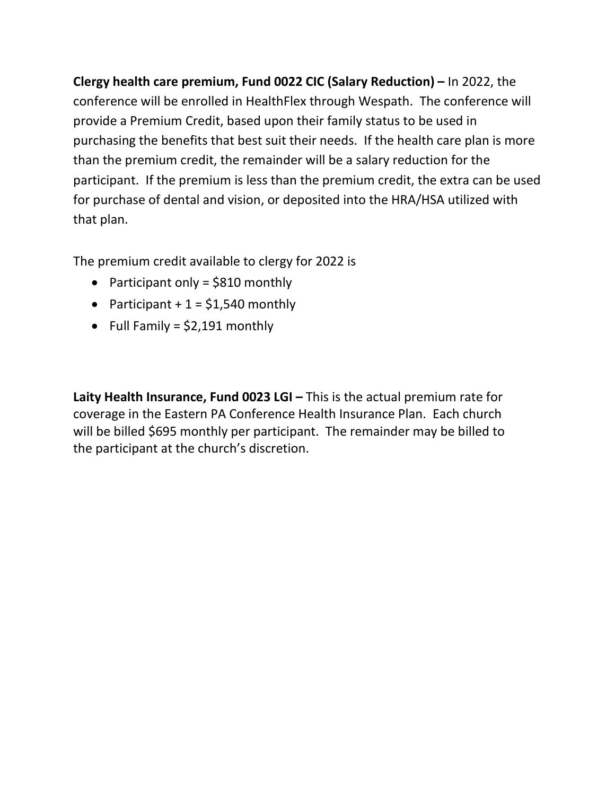**Clergy health care premium, Fund 0022 CIC (Salary Reduction) –** In 2022, the conference will be enrolled in HealthFlex through Wespath. The conference will provide a Premium Credit, based upon their family status to be used in purchasing the benefits that best suit their needs. If the health care plan is more than the premium credit, the remainder will be a salary reduction for the participant. If the premium is less than the premium credit, the extra can be used for purchase of dental and vision, or deposited into the HRA/HSA utilized with that plan.

The premium credit available to clergy for 2022 is

- Participant only = \$810 monthly
- Participant  $+1 = $1,540$  monthly
- Full Family =  $$2,191$  monthly

**Laity Health Insurance, Fund 0023 LGI –** This is the actual premium rate for coverage in the Eastern PA Conference Health Insurance Plan. Each church will be billed \$695 monthly per participant. The remainder may be billed to the participant at the church's discretion.